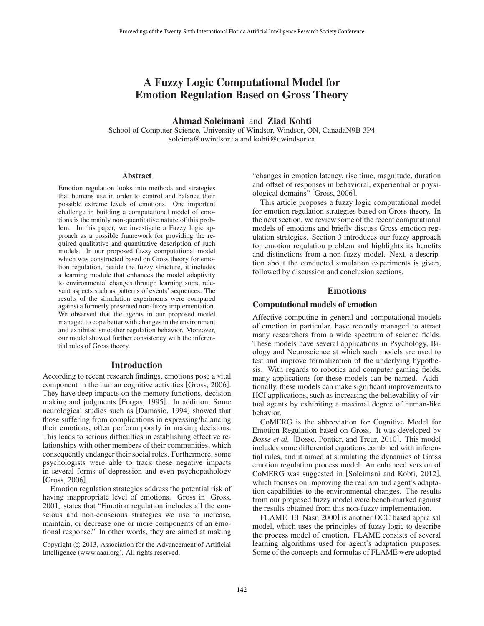# A Fuzzy Logic Computational Model for Emotion Regulation Based on Gross Theory

## Ahmad Soleimani and Ziad Kobti

School of Computer Science, University of Windsor, Windsor, ON, CanadaN9B 3P4 soleima@uwindsor.ca and kobti@uwindsor.ca

#### Abstract

Emotion regulation looks into methods and strategies that humans use in order to control and balance their possible extreme levels of emotions. One important challenge in building a computational model of emotions is the mainly non-quantitative nature of this problem. In this paper, we investigate a Fuzzy logic approach as a possible framework for providing the required qualitative and quantitative description of such models. In our proposed fuzzy computational model which was constructed based on Gross theory for emotion regulation, beside the fuzzy structure, it includes a learning module that enhances the model adaptivity to environmental changes through learning some relevant aspects such as patterns of events' sequences. The results of the simulation experiments were compared against a formerly presented non-fuzzy implementation. We observed that the agents in our proposed model managed to cope better with changes in the environment and exhibited smoother regulation behavior. Moreover, our model showed further consistency with the inferential rules of Gross theory.

### Introduction

According to recent research findings, emotions pose a vital component in the human cognitive activities [Gross, 2006]. They have deep impacts on the memory functions, decision making and judgments [Forgas, 1995]. In addition, Some neurological studies such as [Damasio, 1994] showed that those suffering from complications in expressing/balancing their emotions, often perform poorly in making decisions. This leads to serious difficulties in establishing effective relationships with other members of their communities, which consequently endanger their social roles. Furthermore, some psychologists were able to track these negative impacts in several forms of depression and even psychopathology [Gross, 2006].

Emotion regulation strategies address the potential risk of having inappropriate level of emotions. Gross in [Gross, 2001] states that "Emotion regulation includes all the conscious and non-conscious strategies we use to increase, maintain, or decrease one or more components of an emotional response." In other words, they are aimed at making

"changes in emotion latency, rise time, magnitude, duration and offset of responses in behavioral, experiential or physiological domains" [Gross, 2006].

This article proposes a fuzzy logic computational model for emotion regulation strategies based on Gross theory. In the next section, we review some of the recent computational models of emotions and briefly discuss Gross emotion regulation strategies. Section 3 introduces our fuzzy approach for emotion regulation problem and highlights its benefits and distinctions from a non-fuzzy model. Next, a description about the conducted simulation experiments is given, followed by discussion and conclusion sections.

## Emotions

## Computational models of emotion

Affective computing in general and computational models of emotion in particular, have recently managed to attract many researchers from a wide spectrum of science fields. These models have several applications in Psychology, Biology and Neuroscience at which such models are used to test and improve formalization of the underlying hypothesis. With regards to robotics and computer gaming fields, many applications for these models can be named. Additionally, these models can make significant improvements to HCI applications, such as increasing the believability of virtual agents by exhibiting a maximal degree of human-like behavior.

CoMERG is the abbreviation for Cognitive Model for Emotion Regulation based on Gross. It was developed by *Bosse et al.* [Bosse, Pontier, and Treur, 2010]. This model includes some differential equations combined with inferential rules, and it aimed at simulating the dynamics of Gross emotion regulation process model. An enhanced version of CoMERG was suggested in [Soleimani and Kobti, 2012], which focuses on improving the realism and agent's adaptation capabilities to the environmental changes. The results from our proposed fuzzy model were bench-marked against the results obtained from this non-fuzzy implementation.

FLAME [El Nasr, 2000] is another OCC based appraisal model, which uses the principles of fuzzy logic to describe the process model of emotion. FLAME consists of several learning algorithms used for agent's adaptation purposes. Some of the concepts and formulas of FLAME were adopted

Copyright (c) 2013, Association for the Advancement of Artificial Intelligence (www.aaai.org). All rights reserved.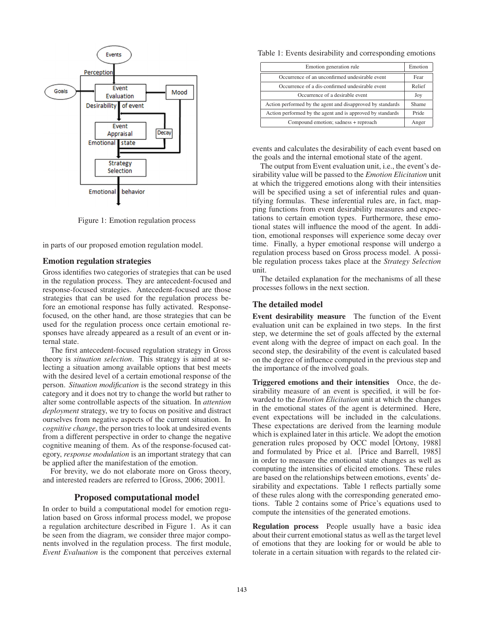

Figure 1: Emotion regulation process

in parts of our proposed emotion regulation model.

## Emotion regulation strategies

Gross identifies two categories of strategies that can be used in the regulation process. They are antecedent-focused and response-focused strategies. Antecedent-focused are those strategies that can be used for the regulation process before an emotional response has fully activated. Responsefocused, on the other hand, are those strategies that can be used for the regulation process once certain emotional responses have already appeared as a result of an event or internal state.

The first antecedent-focused regulation strategy in Gross theory is *situation selection*. This strategy is aimed at selecting a situation among available options that best meets with the desired level of a certain emotional response of the person. *Situation modification* is the second strategy in this category and it does not try to change the world but rather to alter some controllable aspects of the situation. In *attention deployment* strategy, we try to focus on positive and distract ourselves from negative aspects of the current situation. In *cognitive change*, the person tries to look at undesired events from a different perspective in order to change the negative cognitive meaning of them. As of the response-focused category, *response modulation* is an important strategy that can be applied after the manifestation of the emotion.

For brevity, we do not elaborate more on Gross theory, and interested readers are referred to [Gross, 2006; 2001].

## Proposed computational model

In order to build a computational model for emotion regulation based on Gross informal process model, we propose a regulation architecture described in Figure 1. As it can be seen from the diagram, we consider three major components involved in the regulation process. The first module, *Event Evaluation* is the component that perceives external

Table 1: Events desirability and corresponding emotions

| Emotion generation rule                                    | Emotion      |
|------------------------------------------------------------|--------------|
| Occurrence of an unconfirmed undesirable event             | Fear         |
| Occurrence of a dis-confirmed undesirable event            | Relief       |
| Occurrence of a desirable event                            | Joy          |
| Action performed by the agent and disapproved by standards | Shame        |
| Action performed by the agent and is approved by standards | <b>Pride</b> |
| Compound emotion; sadness + reproach                       | Anger        |

events and calculates the desirability of each event based on the goals and the internal emotional state of the agent.

The output from Event evaluation unit, i.e., the event's desirability value will be passed to the *Emotion Elicitation* unit at which the triggered emotions along with their intensities will be specified using a set of inferential rules and quantifying formulas. These inferential rules are, in fact, mapping functions from event desirability measures and expectations to certain emotion types. Furthermore, these emotional states will influence the mood of the agent. In addition, emotional responses will experience some decay over time. Finally, a hyper emotional response will undergo a regulation process based on Gross process model. A possible regulation process takes place at the *Strategy Selection* unit.

The detailed explanation for the mechanisms of all these processes follows in the next section.

### The detailed model

Event desirability measure The function of the Event evaluation unit can be explained in two steps. In the first step, we determine the set of goals affected by the external event along with the degree of impact on each goal. In the second step, the desirability of the event is calculated based on the degree of influence computed in the previous step and the importance of the involved goals.

Triggered emotions and their intensities Once, the desirability measure of an event is specified, it will be forwarded to the *Emotion Elicitation* unit at which the changes in the emotional states of the agent is determined. Here, event expectations will be included in the calculations. These expectations are derived from the learning module which is explained later in this article. We adopt the emotion generation rules proposed by OCC model [Ortony, 1988] and formulated by Price et al. [Price and Barrell, 1985] in order to measure the emotional state changes as well as computing the intensities of elicited emotions. These rules are based on the relationships between emotions, events' desirability and expectations. Table 1 reflects partially some of these rules along with the corresponding generated emotions. Table 2 contains some of Price's equations used to compute the intensities of the generated emotions.

Regulation process People usually have a basic idea about their current emotional status as well as the target level of emotions that they are looking for or would be able to tolerate in a certain situation with regards to the related cir-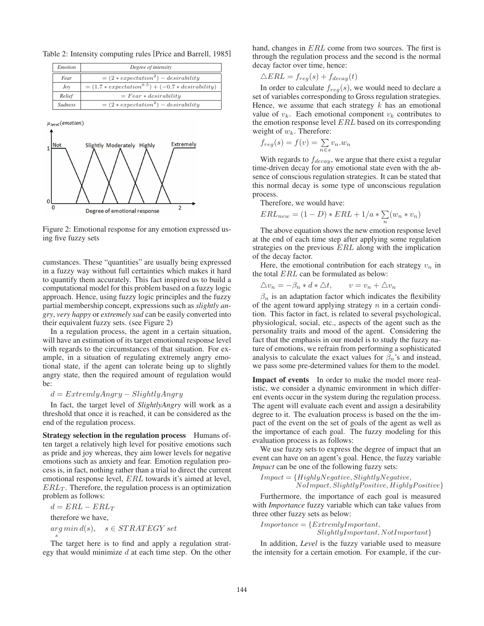Table 2: Intensity computing rules [Price and Barrell, 1985]

| <i>Emotion</i> | Degree of intensity                                |  |  |
|----------------|----------------------------------------------------|--|--|
| Fear           | $= (2 * expectation^2) - desirability$             |  |  |
| Jov            | $= (1.7 * expectation0.5) + (-0.7 * desirability)$ |  |  |
| Relief         | $= Fear * desirability$                            |  |  |
| <b>Sadness</b> | $= (2 * expectation^2) - desirability$             |  |  |



Figure 2: Emotional response for any emotion expressed using five fuzzy sets

cumstances. These "quantities" are usually being expressed in a fuzzy way without full certainties which makes it hard to quantify them accurately. This fact inspired us to build a computational model for this problem based on a fuzzy logic approach. Hence, using fuzzy logic principles and the fuzzy partial membership concept, expressions such as *slightly angry*, *very happy* or *extremely sad* can be easily converted into their equivalent fuzzy sets. (see Figure 2)

In a regulation process, the agent in a certain situation, will have an estimation of its target emotional response level with regards to the circumstances of that situation. For example, in a situation of regulating extremely angry emotional state, if the agent can tolerate being up to slightly angry state, then the required amount of regulation would be:

#### $d = ExtremlyAnqry - SlightlyAnqry$

In fact, the target level of *SlightlyAngry* will work as a threshold that once it is reached, it can be considered as the end of the regulation process.

Strategy selection in the regulation process Humans often target a relatively high level for positive emotions such as pride and joy whereas, they aim lower levels for negative emotions such as anxiety and fear. Emotion regulation process is, in fact, nothing rather than a trial to direct the current emotional response level, ERL towards it's aimed at level,  $ERL<sub>T</sub>$ . Therefore, the regulation process is an optimization problem as follows:

 $d = ERL - ERL_T$ therefore we have,  $arg min d(s), \quad s \in STRATEGY set$ s

The target here is to find and apply a regulation strategy that would minimize  $d$  at each time step. On the other hand, changes in ERL come from two sources. The first is through the regulation process and the second is the normal decay factor over time, hence:

$$
\triangle ERL = f_{reg}(s) + f_{decay}(t)
$$

In order to calculate  $f_{reg}(s)$ , we would need to declare a set of variables corresponding to Gross regulation strategies. Hence, we assume that each strategy  $k$  has an emotional value of  $v_k$ . Each emotional component  $v_k$  contributes to the emotion response level ERL based on its corresponding weight of  $w_k$ . Therefore:

$$
f_{reg}(s) = f(v) = \sum_{n \in s} v_n w_n
$$

With regards to  $f_{decay}$ , we argue that there exist a regular time-driven decay for any emotional state even with the absence of conscious regulation strategies. It can be stated that this normal decay is some type of unconscious regulation process.

Therefore, we would have:

$$
ERL_{new} = (1 - D) * ERL + 1/a * \sum_{n} (w_n * v_n)
$$

The above equation shows the new emotion response level at the end of each time step after applying some regulation strategies on the previous ERL along with the implication of the decay factor.

Here, the emotional contribution for each strategy  $v_n$  in the total ERL can be formulated as below:

$$
\triangle v_n = -\beta_n * d * \triangle t, \qquad v = v_n + \triangle v_n
$$

 $\beta_n$  is an adaptation factor which indicates the flexibility of the agent toward applying strategy  $n$  in a certain condition. This factor in fact, is related to several psychological, physiological, social, etc., aspects of the agent such as the personality traits and mood of the agent. Considering the fact that the emphasis in our model is to study the fuzzy nature of emotions, we refrain from performing a sophisticated analysis to calculate the exact values for  $\beta_n$ 's and instead, we pass some pre-determined values for them to the model.

Impact of events In order to make the model more realistic, we consider a dynamic environment in which different events occur in the system during the regulation process. The agent will evaluate each event and assign a desirability degree to it. The evaluation process is based on the the impact of the event on the set of goals of the agent as well as the importance of each goal. The fuzzy modeling for this evaluation process is as follows:

We use fuzzy sets to express the degree of impact that an event can have on an agent's goal. Hence, the fuzzy variable *Impact* can be one of the following fuzzy sets:

 $Impact = {HighlyNegative, Slightly Negative, }$  $No Impact, Slightly Positive, Highly Positive\}$ 

Furthermore, the importance of each goal is measured with *Importance* fuzzy variable which can take values from three other fuzzy sets as below:

$$
Importance = {ExtremlyImportant, } \newline SlightlyImportant, NotImportant \}
$$

In addition, *Level* is the fuzzy variable used to measure the intensity for a certain emotion*.* For example, if the cur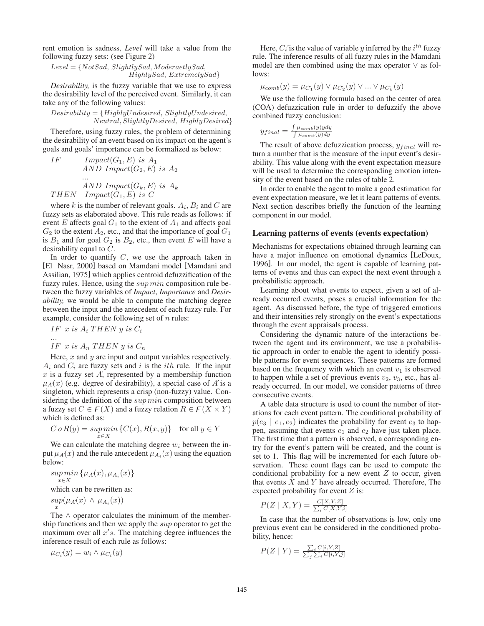rent emotion is sadness, *Level* will take a value from the following fuzzy sets: (see Figure 2)

 $Level = \{NotSad, Slightly Sad, Modernedly Sad,$ HighlySad, ExtremelySad}

*Desirability,* is the fuzzy variable that we use to express the desirability level of the perceived event. Similarly, it can take any of the following values:

### $Desirability = {Highly Undesired, Slightly Undesired, }$ Neutral, SlightlyDesired, HighlyDesired}

Therefore, using fuzzy rules, the problem of determining the desirability of an event based on its impact on the agent's goals and goals' importance can be formalized as below:

IF 
$$
Import(G_1, E)
$$
 is  $A_1$   
AND  $Import(G_2, E)$  is  $A_2$   
...  
AND  $Import(G_k, E)$  is  $A_k$   
THEN  $Import(G_1, E)$  is C

where k is the number of relevant goals.  $A_i$ ,  $B_i$  and C are fuzzy sets as elaborated above. This rule reads as follows: if event E affects goal  $G_1$  to the extent of  $A_1$  and affects goal  $G_2$  to the extent  $A_2$ , etc., and that the importance of goal  $G_1$ is  $B_1$  and for goal  $G_2$  is  $B_2$ , etc., then event E will have a desirability equal to C.

In order to quantify  $C$ , we use the approach taken in [El Nasr, 2000] based on Mamdani model [Mamdani and Assilian, 1975] which applies centroid defuzzification of the fuzzy rules. Hence, using the *sup min* composition rule between the fuzzy variables of *Impact*, *Importance* and *Desirability,* we would be able to compute the matching degree between the input and the antecedent of each fuzzy rule. For example, consider the following set of  $n$  rules:

$$
IF \; x \; is \; A_i \; THEN \; y \; is \; C_i
$$

... IF  $x$  is  $A_n$  THEN  $y$  is  $C_n$ 

Here,  $x$  and  $y$  are input and output variables respectively.  $A_i$  and  $C_i$  are fuzzy sets and i is the *ith* rule. If the input  $x$  is a fuzzy set  $A'$ , represented by a membership function  $\mu_A(x)$  (e.g. degree of desirability), a special case of A' is a singleton, which represents a crisp (non-fuzzy) value. Considering the definition of the  $supmin$  composition between a fuzzy set  $C \in F(X)$  and a fuzzy relation  $R \in F(X \times Y)$ which is defined as:

$$
C \circ R(y) = \sup_{x \in X} \min \left\{ C(x), R(x, y) \right\} \quad \text{for all } y \in Y
$$

We can calculate the matching degree  $w_i$  between the input  $\mu_A(x)$  and the rule antecedent  $\mu_{A_i}(x)$  using the equation below:

 $sup min \{ \mu_A(x), \mu_{A_i}(x) \}$  $x \in X$ 

which can be rewritten as:

 $sup(\mu_A(x) \wedge \mu_{A_i}(x))$ x

The ∧ operator calculates the minimum of the membership functions and then we apply the sup operator to get the maximum over all  $x's$ . The matching degree influences the inference result of each rule as follows:

 $\mu_{C_i}(y) = w_i \wedge \mu_{C_i}(y)$ 

Here,  $C_i$  is the value of variable y inferred by the  $i^{th}$  fuzzy rule. The inference results of all fuzzy rules in the Mamdani model are then combined using the max operator ∨ as follows:

$$
\mu_{comb}(y) = \mu_{C_1}(y) \vee \mu_{C_2}(y) \vee \ldots \vee \mu_{C_k}(y)
$$

We use the following formula based on the center of area (COA) defuzzication rule in order to defuzzify the above combined fuzzy conclusion:

$$
y_{final} = \frac{\int \mu_{comb}(y) y dy}{\int \mu_{comb}(y) dy}
$$

The result of above defuzzication process,  $y_{final}$  will return a number that is the measure of the input event's desirability. This value along with the event expectation measure will be used to determine the corresponding emotion intensity of the event based on the rules of table 2.

In order to enable the agent to make a good estimation for event expectation measure, we let it learn patterns of events. Next section describes briefly the function of the learning component in our model.

### Learning patterns of events (events expectation)

Mechanisms for expectations obtained through learning can have a major influence on emotional dynamics [LeDoux, 1996]. In our model, the agent is capable of learning patterns of events and thus can expect the next event through a probabilistic approach.

Learning about what events to expect, given a set of already occurred events, poses a crucial information for the agent. As discussed before, the type of triggered emotions and their intensities rely strongly on the event's expectations through the event appraisals process.

Considering the dynamic nature of the interactions between the agent and its environment, we use a probabilistic approach in order to enable the agent to identify possible patterns for event sequences. These patterns are formed based on the frequency with which an event  $v_1$  is observed to happen while a set of previous events  $v_2$ ,  $v_3$ , etc., has already occurred. In our model, we consider patterns of three consecutive events.

A table data structure is used to count the number of iterations for each event pattern. The conditional probability of  $p(e_3 \mid e_1, e_2)$  indicates the probability for event  $e_3$  to happen, assuming that events  $e_1$  and  $e_2$  have just taken place. The first time that a pattern is observed, a corresponding entry for the event's pattern will be created, and the count is set to 1. This flag will be incremented for each future observation. These count flags can be used to compute the conditional probability for a new event  $Z$  to occur, given that events  $X$  and  $Y$  have already occurred. Therefore, The expected probability for event  $Z$  is:

$$
P(Z \mid X, Y) = \frac{C[X, Y, Z]}{\sum_{i} C[X, Y, i]}
$$

In case that the number of observations is low, only one previous event can be considered in the conditioned probability, hence:

$$
P(Z | Y) = \frac{\sum_{i} C[i, Y, Z]}{\sum_{j} \sum_{i} C[i, Y, j]}
$$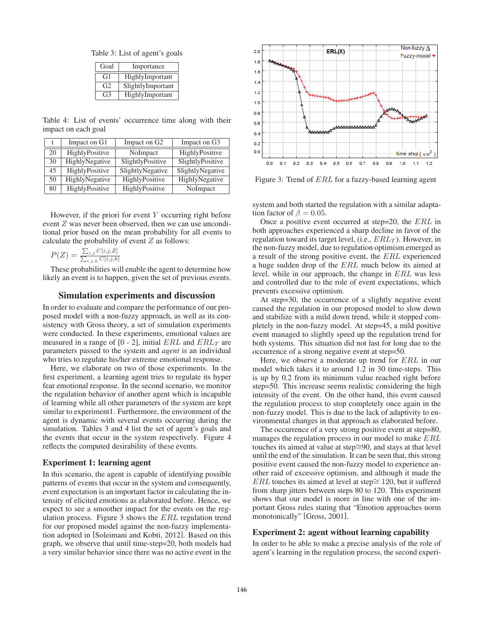Table 3: List of agent's goals

| Goal           | Importance        |  |
|----------------|-------------------|--|
| G1             | HighlyImportant   |  |
| G <sub>2</sub> | SlightlyImportant |  |
| G3             | HighlyImportant   |  |

Table 4: List of events' occurrence time along with their impact on each goal

|    | Impact on G1   | Impact on G <sub>2</sub> | Impact on G3     |
|----|----------------|--------------------------|------------------|
| 20 | HighlyPositive | NoImpact                 | HighlyPositive   |
| 30 | HighlyNegative | SlightlyPositive         | SlightlyPositive |
| 45 | HighlyPositive | SlightlyNegative         | SlightlyNegative |
| 50 | HighlyNegative | HighlyPositive           | HighlyNegative   |
| 80 | HighlyPositive | HighlyPositive           | NoImpact         |

However, if the priori for event  $Y$  occurring right before event Z was never been observed, then we can use unconditional prior based on the mean probability for all events to calculate the probability of event  $Z$  as follows:

$$
P(Z) = \frac{\sum_{i,j} C[i,j,Z]}{\sum_{i,j,k} C[i,j,k]}
$$

These probabilities will enable the agent to determine how likely an event is to happen, given the set of previous events.

## Simulation experiments and discussion

In order to evaluate and compare the performance of our proposed model with a non-fuzzy approach, as well as its consistency with Gross theory, a set of simulation experiments were conducted. In these experiments, emotional values are measured in a range of [0 - 2], initial  $ERL$  and  $ERL_T$  are parameters passed to the system and *agent* is an individual who tries to regulate his/her extreme emotional response.

Here, we elaborate on two of those experiments. In the first experiment, a learning agent tries to regulate its hyper fear emotional response. In the second scenario, we monitor the regulation behavior of another agent which is incapable of learning while all other parameters of the system are kept similar to experiment1. Furthermore, the environment of the agent is dynamic with several events occurring during the simulation. Tables 3 and 4 list the set of agent's goals and the events that occur in the system respectively. Figure 4 reflects the computed desirability of these events.

### Experiment 1: learning agent

In this scenario, the agent is capable of identifying possible patterns of events that occur in the system and consequently, event expectation is an important factor in calculating the intensity of elicited emotions as elaborated before. Hence, we expect to see a smoother impact for the events on the regulation process. Figure 3 shows the ERL regulation trend for our proposed model against the non-fuzzy implementation adopted in [Soleimani and Kobti, 2012]. Based on this graph, we observe that until time-step=20, both models had a very similar behavior since there was no active event in the



Figure 3: Trend of ERL for a fuzzy-based learning agent

system and both started the regulation with a similar adaptation factor of  $\beta = 0.05$ .

Once a positive event occurred at step=20, the ERL in both approaches experienced a sharp decline in favor of the regulation toward its target level, (i.e.,  $ERL<sub>T</sub>$ ). However, in the non-fuzzy model, due to regulation optimism emerged as a result of the strong positive event, the ERL experienced a huge sudden drop of the ERL much below its aimed at level, while in our approach, the change in ERL was less and controlled due to the role of event expectations, which prevents excessive optimism.

At step=30, the occurrence of a slightly negative event caused the regulation in our proposed model to slow down and stabilize with a mild down trend, while it stopped completely in the non-fuzzy model. At step=45, a mild positive event managed to slightly speed up the regulation trend for both systems. This situation did not last for long due to the occurrence of a strong negative event at step=50.

Here, we observe a moderate up trend for ERL in our model which takes it to around 1.2 in 30 time-steps. This is up by 0.2 from its minimum value reached right before step=50. This increase seems realistic considering the high intensity of the event. On the other hand, this event caused the regulation process to stop completely once again in the non-fuzzy model. This is due to the lack of adaptivity to environmental changes in that approach as elaborated before.

The occurrence of a very strong positive event at step=80, manages the regulation process in our model to make ERL touches its aimed at value at step≅90, and stays at that level until the end of the simulation. It can be seen that, this strong positive event caused the non-fuzzy model to experience another raid of excessive optimism, and although it made the ERL touches its aimed at level at step≅ 120, but it suffered from sharp jitters between steps 80 to 120. This experiment shows that our model is more in line with one of the important Gross rules stating that "Emotion approaches norm monotonically" [Gross, 2001].

### Experiment 2: agent without learning capability

In order to be able to make a precise analysis of the role of agent's learning in the regulation process, the second experi-